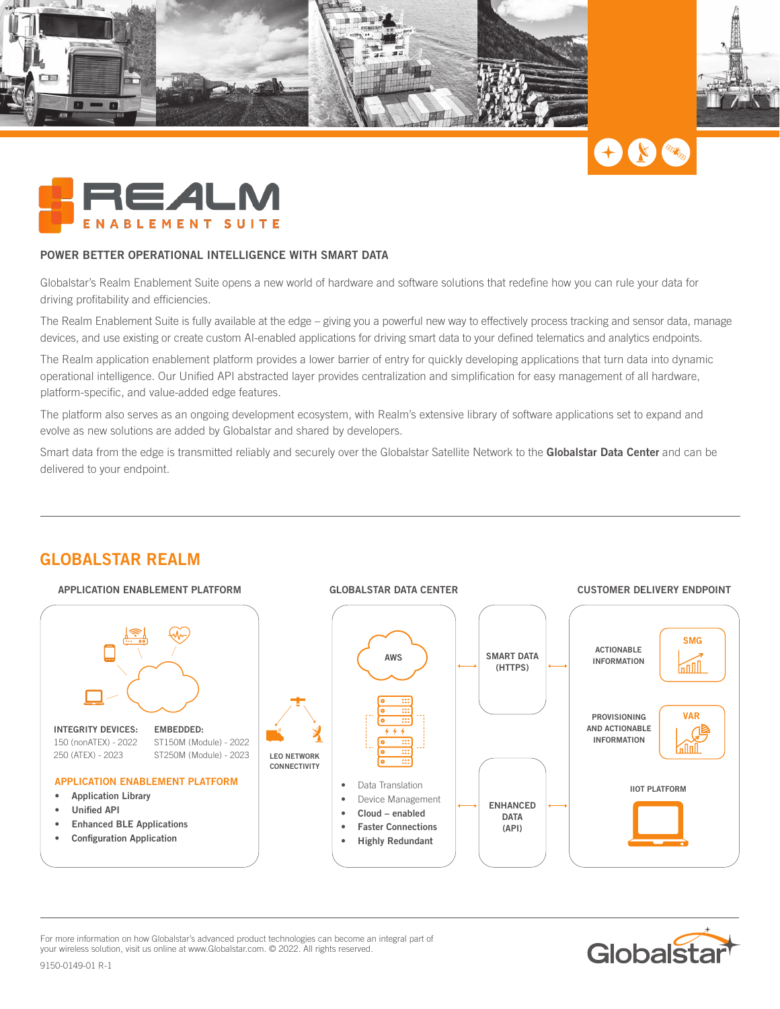







#### **POWER BETTER OPERATIONAL INTELLIGENCE WITH SMART DATA**

Globalstar's Realm Enablement Suite opens a new world of hardware and software solutions that redefine how you can rule your data for driving profitability and efficiencies.

The Realm Enablement Suite is fully available at the edge – giving you a powerful new way to effectively process tracking and sensor data, manage devices, and use existing or create custom AI-enabled applications for driving smart data to your defined telematics and analytics endpoints.

The Realm application enablement platform provides a lower barrier of entry for quickly developing applications that turn data into dynamic operational intelligence. Our Unified API abstracted layer provides centralization and simplification for easy management of all hardware, platform-specific, and value-added edge features.

The platform also serves as an ongoing development ecosystem, with Realm's extensive library of software applications set to expand and evolve as new solutions are added by Globalstar and shared by developers.

Smart data from the edge is transmitted reliably and securely over the Globalstar Satellite Network to the **Globalstar Data Center** and can be delivered to your endpoint.



For more information on how Globalstar's advanced product technologies can become an integral part of your wireless solution, visit us online at www.Globalstar.com. © 2022. All rights reserved.



9150-0149-01 R-1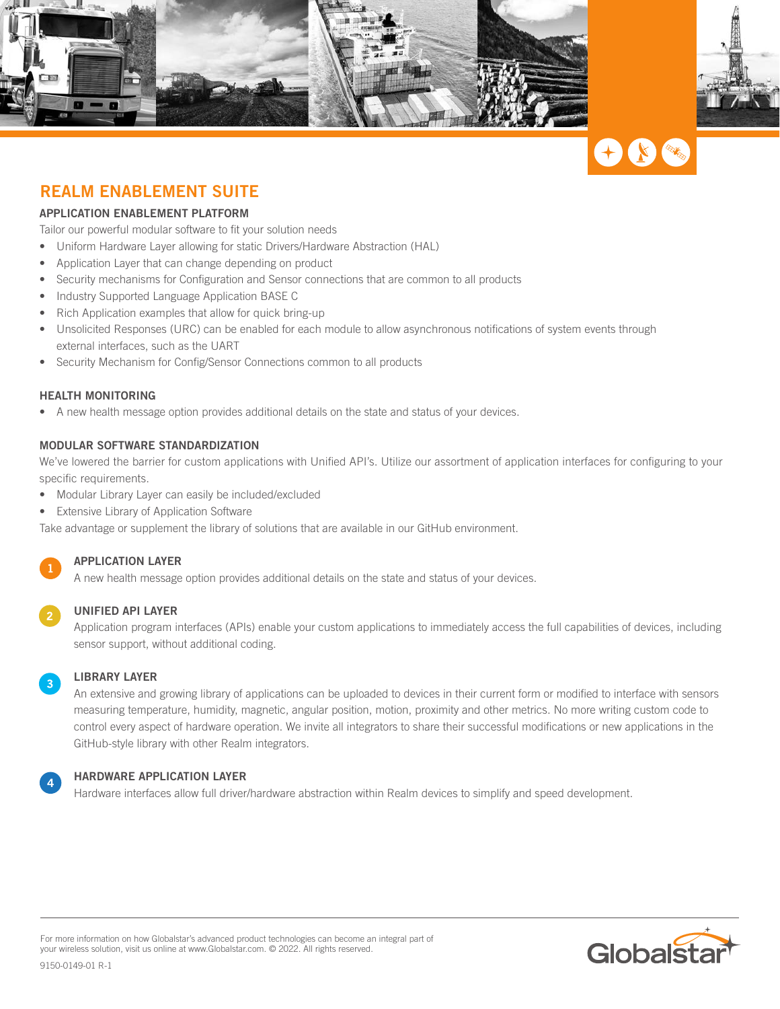





# **REALM ENABLEMENT SUITE**

#### **APPLICATION ENABLEMENT PLATFORM**

Tailor our powerful modular software to fit your solution needs

- Uniform Hardware Layer allowing for static Drivers/Hardware Abstraction (HAL)
- Application Layer that can change depending on product
- Security mechanisms for Configuration and Sensor connections that are common to all products
- Industry Supported Language Application BASE C
- Rich Application examples that allow for quick bring-up
- Unsolicited Responses (URC) can be enabled for each module to allow asynchronous notifications of system events through external interfaces, such as the UART
- Security Mechanism for Config/Sensor Connections common to all products

## **HEALTH MONITORING**

• A new health message option provides additional details on the state and status of your devices.

#### **MODULAR SOFTWARE STANDARDIZATION**

We've lowered the barrier for custom applications with Unified API's. Utilize our assortment of application interfaces for configuring to your specific requirements.

- Modular Library Layer can easily be included/excluded
- Extensive Library of Application Software

Take advantage or supplement the library of solutions that are available in our GitHub environment.

#### **APPLICATION LAYER**

A new health message option provides additional details on the state and status of your devices.

#### **UNIFIED API LAYER**

Application program interfaces (APIs) enable your custom applications to immediately access the full capabilities of devices, including sensor support, without additional coding.

## **LIBRARY LAYER**

An extensive and growing library of applications can be uploaded to devices in their current form or modified to interface with sensors measuring temperature, humidity, magnetic, angular position, motion, proximity and other metrics. No more writing custom code to control every aspect of hardware operation. We invite all integrators to share their successful modifications or new applications in the GitHub-style library with other Realm integrators.

#### **HARDWARE APPLICATION LAYER**

Hardware interfaces allow full driver/hardware abstraction within Realm devices to simplify and speed development.

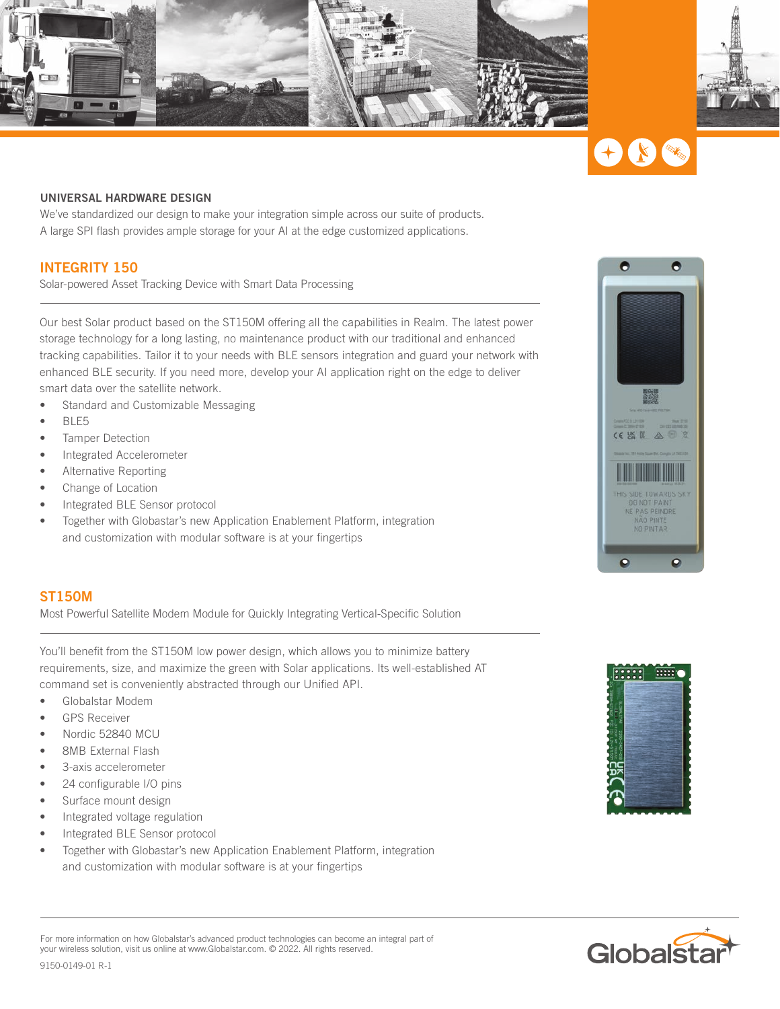





#### **UNIVERSAL HARDWARE DESIGN**

We've standardized our design to make your integration simple across our suite of products. A large SPI flash provides ample storage for your AI at the edge customized applications.

## **INTEGRITY 150**

Solar-powered Asset Tracking Device with Smart Data Processing

Our best Solar product based on the ST150M offering all the capabilities in Realm. The latest power storage technology for a long lasting, no maintenance product with our traditional and enhanced tracking capabilities. Tailor it to your needs with BLE sensors integration and guard your network with enhanced BLE security. If you need more, develop your AI application right on the edge to deliver smart data over the satellite network.

- Standard and Customizable Messaging
- BLE5
- Tamper Detection
- Integrated Accelerometer
- Alternative Reporting
- Change of Location
- Integrated BLE Sensor protocol
- Together with Globastar's new Application Enablement Platform, integration and customization with modular software is at your fingertips

#### **ST150M**

Most Powerful Satellite Modem Module for Quickly Integrating Vertical-Specific Solution

You'll benefit from the ST150M low power design, which allows you to minimize battery requirements, size, and maximize the green with Solar applications. Its well-established AT command set is conveniently abstracted through our Unified API.

- Globalstar Modem
- GPS Receiver
- Nordic 52840 MCU
- 8MB External Flash
- 3-axis accelerometer
- 24 configurable I/O pins
- Surface mount design
- Integrated voltage regulation
- Integrated BLE Sensor protocol
- Together with Globastar's new Application Enablement Platform, integration and customization with modular software is at your fingertips